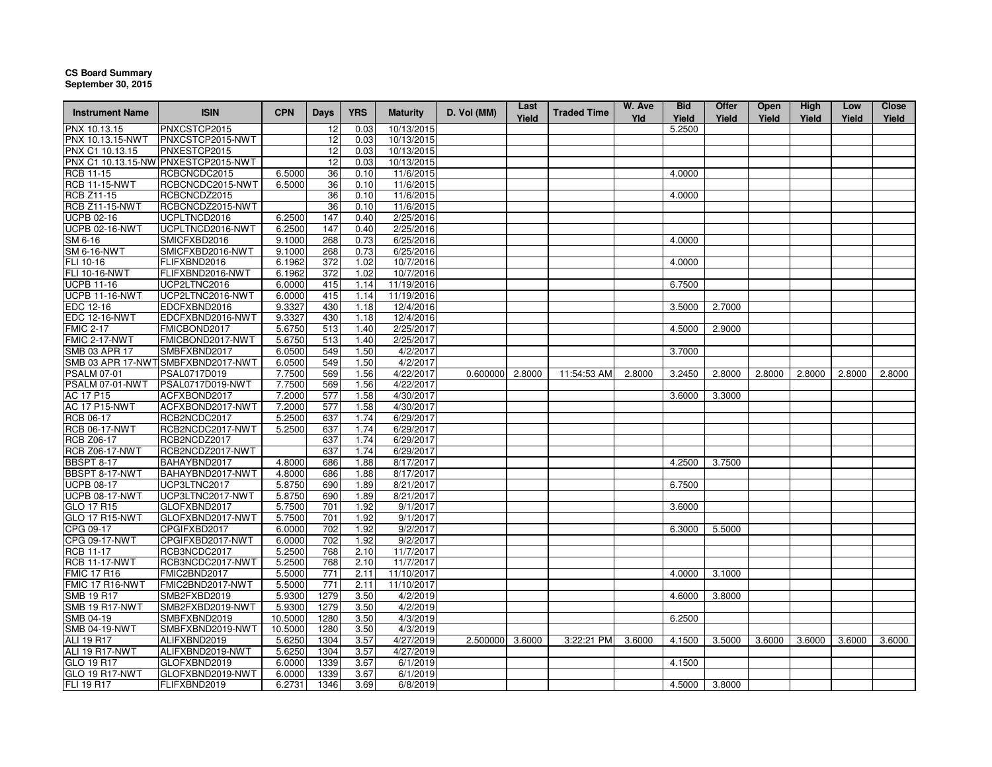## **CS Board Summary September 30, 2015**

| <b>Instrument Name</b> | <b>ISIN</b>                         | <b>CPN</b>       | <b>Days</b> | <b>YRS</b> | <b>Maturity</b> | D. Vol (MM)     | Last<br>Yield | <b>Traded Time</b> | W. Ave<br>Yld | <b>Bid</b><br>Yield | Offer<br>Yield | <b>Open</b><br>Yield | High<br>Yield | Low<br>Yield | <b>Close</b><br>Yield |
|------------------------|-------------------------------------|------------------|-------------|------------|-----------------|-----------------|---------------|--------------------|---------------|---------------------|----------------|----------------------|---------------|--------------|-----------------------|
| PNX 10.13.15           | PNXCSTCP2015                        |                  | 12          | 0.03       | 10/13/2015      |                 |               |                    |               | 5.2500              |                |                      |               |              |                       |
| PNX 10.13.15-NWT       | PNXCSTCP2015-NWT                    |                  | 12          | 0.03       | 10/13/2015      |                 |               |                    |               |                     |                |                      |               |              |                       |
| PNX C1 10.13.15        | PNXESTCP2015                        |                  | 12          | 0.03       | 10/13/2015      |                 |               |                    |               |                     |                |                      |               |              |                       |
|                        | PNX C1 10.13.15-NW PNXESTCP2015-NWT |                  | 12          | 0.03       | 10/13/2015      |                 |               |                    |               |                     |                |                      |               |              |                       |
| RCB 11-15              | RCBCNCDC2015                        | 6.5000           | 36          | 0.10       | 11/6/2015       |                 |               |                    |               | 4.0000              |                |                      |               |              |                       |
| <b>RCB 11-15-NWT</b>   | RCBCNCDC2015-NWT                    | 6.5000           | 36          | 0.10       | 11/6/2015       |                 |               |                    |               |                     |                |                      |               |              |                       |
| <b>RCB Z11-15</b>      | RCBCNCDZ2015                        |                  | 36          | 0.10       | 11/6/2015       |                 |               |                    |               | 4.0000              |                |                      |               |              |                       |
| <b>RCB Z11-15-NWT</b>  | RCBCNCDZ2015-NWT                    |                  | 36          | 0.10       | 11/6/2015       |                 |               |                    |               |                     |                |                      |               |              |                       |
| <b>UCPB 02-16</b>      | UCPLTNCD2016                        | 6.2500           | 147         | 0.40       | 2/25/2016       |                 |               |                    |               |                     |                |                      |               |              |                       |
| <b>UCPB 02-16-NWT</b>  | UCPLTNCD2016-NWT                    | 6.2500           | 147         | 0.40       | 2/25/2016       |                 |               |                    |               |                     |                |                      |               |              |                       |
| SM 6-16                | SMICFXBD2016                        | 9.1000           | 268         | 0.73       | 6/25/2016       |                 |               |                    |               | 4.0000              |                |                      |               |              |                       |
| <b>SM 6-16-NWT</b>     | SMICFXBD2016-NWT                    | 9.1000           | 268         | 0.73       | 6/25/2016       |                 |               |                    |               |                     |                |                      |               |              |                       |
| FLI 10-16              | FLIFXBND2016                        | 6.1962           | 372         | 1.02       | 10/7/2016       |                 |               |                    |               | 4.0000              |                |                      |               |              |                       |
| FLI 10-16-NWT          | FLIFXBND2016-NWT                    | 6.1962           | 372         | 1.02       | 10/7/2016       |                 |               |                    |               |                     |                |                      |               |              |                       |
| <b>UCPB 11-16</b>      | UCP2LTNC2016                        | 6.0000           | 415         | 1.14       | 11/19/2016      |                 |               |                    |               | 6.7500              |                |                      |               |              |                       |
| <b>UCPB 11-16-NWT</b>  | UCP2LTNC2016-NWT                    | 6.0000           | 415         | 1.14       | 11/19/2016      |                 |               |                    |               |                     |                |                      |               |              |                       |
| EDC 12-16              | EDCFXBND2016                        | 9.3327           | 430         | 1.18       | 12/4/2016       |                 |               |                    |               | 3.5000              | 2.7000         |                      |               |              |                       |
| <b>EDC 12-16-NWT</b>   | EDCFXBND2016-NWT                    | 9.3327           | 430         | 1.18       | 12/4/2016       |                 |               |                    |               |                     |                |                      |               |              |                       |
| <b>FMIC 2-17</b>       | FMICBOND2017                        | 5.6750           | 513         | 1.40       | 2/25/2017       |                 |               |                    |               | 4.5000              | 2.9000         |                      |               |              |                       |
| FMIC 2-17-NWT          | FMICBOND2017-NWT                    | 5.6750           | 513         | 1.40       | 2/25/2017       |                 |               |                    |               |                     |                |                      |               |              |                       |
| <b>SMB 03 APR 17</b>   | SMBFXBND2017                        | 6.0500           | 549         | 1.50       | 4/2/2017        |                 |               |                    |               | 3.7000              |                |                      |               |              |                       |
|                        | SMB 03 APR 17-NWTSMBFXBND2017-NWT   |                  |             | 1.50       | 4/2/2017        |                 |               |                    |               |                     |                |                      |               |              |                       |
| <b>PSALM 07-01</b>     |                                     | 6.0500<br>7.7500 | 549         |            | 4/22/2017       |                 |               |                    |               |                     |                |                      |               |              |                       |
|                        | PSAL0717D019                        |                  | 569         | 1.56       |                 | 0.600000 2.8000 |               | 11:54:53 AM        | 2.8000        | 3.2450              | 2.8000         | 2.8000               | 2.8000        | 2.8000       | 2.8000                |
| PSALM 07-01-NWT        | PSAL0717D019-NWT                    | 7.7500           | 569         | 1.56       | 4/22/2017       |                 |               |                    |               |                     |                |                      |               |              |                       |
| AC 17 P15              | ACFXBOND2017                        | 7.2000           | 577         | 1.58       | 4/30/2017       |                 |               |                    |               | 3.6000              | 3.3000         |                      |               |              |                       |
| <b>AC 17 P15-NWT</b>   | ACFXBOND2017-NWT                    | 7.2000           | 577         | 1.58       | 4/30/2017       |                 |               |                    |               |                     |                |                      |               |              |                       |
| RCB 06-17              | RCB2NCDC2017                        | 5.2500           | 637         | 1.74       | 6/29/2017       |                 |               |                    |               |                     |                |                      |               |              |                       |
| <b>RCB 06-17-NWT</b>   | RCB2NCDC2017-NWT                    | 5.2500           | 637         | 1.74       | 6/29/2017       |                 |               |                    |               |                     |                |                      |               |              |                       |
| <b>RCB Z06-17</b>      | RCB2NCDZ2017                        |                  | 637         | 1.74       | 6/29/2017       |                 |               |                    |               |                     |                |                      |               |              |                       |
| <b>RCB Z06-17-NWT</b>  | RCB2NCDZ2017-NWT                    |                  | 637         | 1.74       | 6/29/2017       |                 |               |                    |               |                     |                |                      |               |              |                       |
| <b>BBSPT 8-17</b>      | BAHAYBND2017                        | 4.8000           | 686         | 1.88       | 8/17/2017       |                 |               |                    |               | 4.2500              | 3.7500         |                      |               |              |                       |
| BBSPT 8-17-NWT         | BAHAYBND2017-NWT                    | 4.8000           | 686         | 1.88       | 8/17/2017       |                 |               |                    |               |                     |                |                      |               |              |                       |
| <b>UCPB 08-17</b>      | UCP3LTNC2017                        | 5.8750           | 690         | 1.89       | 8/21/2017       |                 |               |                    |               | 6.7500              |                |                      |               |              |                       |
| <b>UCPB 08-17-NWT</b>  | UCP3LTNC2017-NWT                    | 5.8750           | 690         | 1.89       | 8/21/2017       |                 |               |                    |               |                     |                |                      |               |              |                       |
| GLO 17 R15             | GLOFXBND2017                        | 5.7500           | 701         | 1.92       | 9/1/2017        |                 |               |                    |               | 3.6000              |                |                      |               |              |                       |
| <b>GLO 17 R15-NWT</b>  | GLOFXBND2017-NWT                    | 5.7500           | 701         | 1.92       | 9/1/2017        |                 |               |                    |               |                     |                |                      |               |              |                       |
| CPG 09-17              | CPGIFXBD2017                        | 6.0000           | 702         | 1.92       | 9/2/2017        |                 |               |                    |               | 6.3000              | 5.5000         |                      |               |              |                       |
| CPG 09-17-NWT          | CPGIFXBD2017-NWT                    | 6.0000           | 702         | 1.92       | 9/2/2017        |                 |               |                    |               |                     |                |                      |               |              |                       |
| <b>RCB 11-17</b>       | RCB3NCDC2017                        | 5.2500           | 768         | 2.10       | 11/7/2017       |                 |               |                    |               |                     |                |                      |               |              |                       |
| <b>RCB 11-17-NWT</b>   | RCB3NCDC2017-NWT                    | 5.2500           | 768         | 2.10       | 11/7/2017       |                 |               |                    |               |                     |                |                      |               |              |                       |
| <b>FMIC 17 R16</b>     | FMIC2BND2017                        | 5.5000           | 771         | 2.11       | 11/10/2017      |                 |               |                    |               | 4.0000              | 3.1000         |                      |               |              |                       |
| <b>FMIC 17 R16-NWT</b> | FMIC2BND2017-NWT                    | 5.5000           | 771         | 2.11       | 11/10/2017      |                 |               |                    |               |                     |                |                      |               |              |                       |
| <b>SMB 19 R17</b>      | SMB2FXBD2019                        | 5.9300           | 1279        | 3.50       | 4/2/2019        |                 |               |                    |               | 4.6000              | 3.8000         |                      |               |              |                       |
| <b>SMB 19 R17-NWT</b>  | SMB2FXBD2019-NWT                    | 5.9300           | 1279        | 3.50       | 4/2/2019        |                 |               |                    |               |                     |                |                      |               |              |                       |
| SMB 04-19              | SMBFXBND2019                        | 10.5000          | 1280        | 3.50       | 4/3/2019        |                 |               |                    |               | 6.2500              |                |                      |               |              |                       |
| <b>SMB 04-19-NWT</b>   | SMBFXBND2019-NWT                    | 10.5000          | 1280        | 3.50       | 4/3/2019        |                 |               |                    |               |                     |                |                      |               |              |                       |
| ALI 19 R17             | ALIFXBND2019                        | 5.6250           | 1304        | 3.57       | 4/27/2019       | 2.500000 3.6000 |               | 3:22:21 PM         | 3.6000        | 4.1500              | 3.5000         | 3.6000               | 3.6000        | 3.6000       | 3.6000                |
| ALI 19 R17-NWT         | ALIFXBND2019-NWT                    | 5.6250           | 1304        | 3.57       | 4/27/2019       |                 |               |                    |               |                     |                |                      |               |              |                       |
| GLO 19 R17             | GLOFXBND2019                        | 6.0000           | 1339        | 3.67       | 6/1/2019        |                 |               |                    |               | 4.1500              |                |                      |               |              |                       |
| <b>GLO 19 R17-NWT</b>  | GLOFXBND2019-NWT                    | 6.0000           | 1339        | 3.67       | 6/1/2019        |                 |               |                    |               |                     |                |                      |               |              |                       |
| FLI 19 R17             | FLIFXBND2019                        | 6.2731           | 1346        | 3.69       | 6/8/2019        |                 |               |                    |               | 4.5000              | 3.8000         |                      |               |              |                       |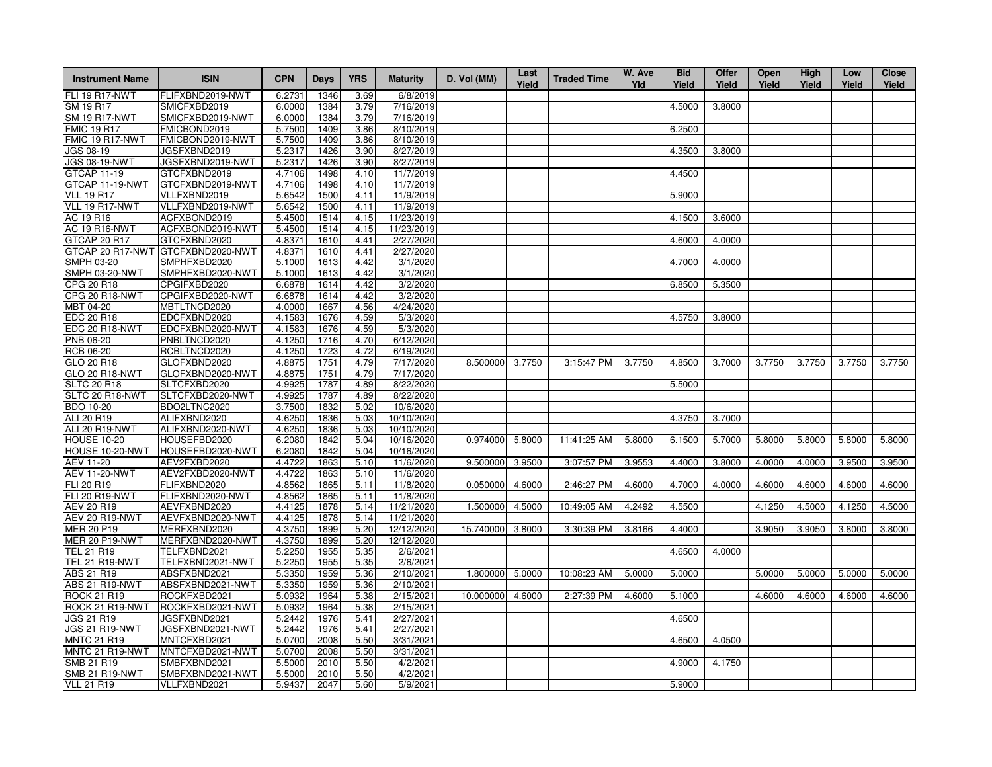| 1346<br>4.5000<br>3.8000<br>SM 19 R17<br>SMICFXBD2019<br>6.0000<br>1384<br>3.79<br>7/16/2019<br>SMICFXBD2019-NWT<br>3.79<br>7/16/2019<br>6.0000<br>1384<br>FMICBOND2019<br>5.7500<br>8/10/2019<br>6.2500<br>1409<br>3.86<br>5.7500<br>FMICBOND2019-NWT<br>1409<br>3.86<br>8/10/2019<br>JGS 08-19<br>JGSFXBND2019<br>5.2317<br>1426<br>3.90<br>8/27/2019<br>4.3500<br>3.8000<br><b>JGS 08-19-NWT</b><br>JGSFXBND2019-NWT<br>5.2317<br>1426<br>3.90<br>8/27/2019<br>4.4500<br>GTCFXBND2019<br>4.7106<br>1498<br>4.10<br>11/7/2019<br>GTCFXBND2019-NWT<br>11/7/2019<br>GTCAP 11-19-NWT<br>4.7106<br>1498<br>4.10<br><b>VLL 19 R17</b><br>VLLFXBND2019<br>5.6542<br>1500<br>4.11<br>11/9/2019<br>5.9000<br>VLLFXBND2019-NWT<br>1500<br>4.11<br>11/9/2019<br>5.6542<br>11/23/2019<br>AC 19 R16<br>ACFXBOND2019<br>5.4500<br>1514<br>4.15<br>4.1500<br>3.6000<br>AC 19 R16-NWT<br>11/23/2019<br>ACFXBOND2019-NWT<br>5.4500<br>1514<br>4.15<br>GTCAP 20 R17<br>4.8371<br>1610<br>4.41<br>2/27/2020<br>4.6000<br>4.0000<br>GTCFXBND2020<br>GTCAP 20 R17-NWT GTCFXBND2020-NWT<br>2/27/2020<br>4.8371<br>1610<br>4.41<br>SMPH 03-20<br>SMPHFXBD2020<br>5.1000<br>1613<br>4.42<br>3/1/2020<br>4.7000<br>4.0000<br>SMPH 03-20-NWT<br>SMPHFXBD2020-NWT<br>5.1000<br>1613<br>4.42<br>3/1/2020<br>6.6878<br>3/2/2020<br>6.8500<br>5.3500<br>CPG 20 R18<br>CPGIFXBD2020<br>1614<br>4.42<br>CPG 20 R18-NWT<br>CPGIFXBD2020-NWT<br>6.6878<br>1614<br>4.42<br>3/2/2020<br>MBT 04-20<br>MBTLTNCD2020<br>4.0000<br>1667<br>4.56<br>4/24/2020<br>EDC 20 R18<br>EDCFXBND2020<br>4.1583<br>4.59<br>5/3/2020<br>4.5750<br>1676<br>3.8000<br>EDC 20 R18-NWT<br>EDCFXBND2020-NWT<br>5/3/2020<br>4.1583<br>1676<br>4.59<br>PNB 06-20<br>PNBLTNCD2020<br>4.1250<br>1716<br>4.70<br>6/12/2020<br>4.1250<br><b>RCB 06-20</b><br>RCBLTNCD2020<br>1723<br>4.72<br>6/19/2020<br>GLO 20 R18<br>GLOFXBND2020<br>4.8875<br>1751<br>4.79<br>7/17/2020<br>8.500000<br>3.7750<br>3:15:47 PM<br>3.7750<br>4.8500<br>3.7000<br>3.7750<br>3.7750<br>3.7750<br>3.7750<br>GLO 20 R18-NWT<br>GLOFXBND2020-NWT<br>4.8875<br>1751<br>4.79<br>7/17/2020<br>8/22/2020<br>5.5000<br><b>SLTC 20 R18</b><br>SLTCFXBD2020<br>4.9925<br>1787<br>4.89<br>SLTC 20 R18-NWT<br>SLTCFXBD2020-NWT<br>4.9925<br>1787<br>4.89<br>8/22/2020<br>10/6/2020<br><b>BDO 10-20</b><br>BDO2LTNC2020<br>3.7500<br>1832<br>5.02<br>ALI 20 R19<br>4.6250<br>10/10/2020<br>4.3750<br>ALIFXBND2020<br>1836<br>5.03<br>3.7000<br>ALI 20 R19-NWT<br>ALIFXBND2020-NWT<br>4.6250<br>1836<br>5.03<br>10/10/2020<br>0.974000<br>11:41:25 AM<br>6.1500<br>5.8000<br><b>HOUSE 10-20</b><br>HOUSEFBD2020<br>6.2080<br>1842<br>5.04<br>10/16/2020<br>5.8000<br>5.8000<br>5.7000<br>5.8000<br>5.8000<br>5.8000<br>HOUSE 10-20-NWT<br>HOUSEFBD2020-NWT<br>6.2080<br>5.04<br>10/16/2020<br>1842<br>3.9553<br>4.4000<br>AEV 11-20<br>AEV2FXBD2020<br>4.4722<br>1863<br>5.10<br>11/6/2020<br>9.500000<br>3.9500<br>3:07:57 PM<br>3.8000<br>4.0000<br>4.0000<br>3.9500<br>3.9500<br><b>AEV 11-20-NWT</b><br>4.4722<br>11/6/2020<br>AEV2FXBD2020-NWT<br>1863<br>5.10<br>FLI 20 R19<br>FLIFXBND2020<br>4.8562<br>5.11<br>11/8/2020<br>0.050000<br>4.6000<br>2:46:27 PM<br>4.6000<br>4.7000<br>4.0000<br>4.6000<br>4.6000<br>4.6000<br>4.6000<br>1865<br><b>FLI 20 R19-NWT</b><br>11/8/2020<br>FLIFXBND2020-NWT<br>4.8562<br>1865<br>5.11<br>AEV 20 R19<br>AEVFXBND2020<br>4.4125<br>1878<br>5.14<br>11/21/2020<br>1.500000<br>4.5000<br>10:49:05 AM<br>4.2492<br>4.5500<br>4.1250<br>4.5000<br>4.1250<br>4.5000<br><b>AEV 20 R19-NWT</b><br>AEVFXBND2020-NWT<br>4.4125<br>1878<br>11/21/2020<br>5.14<br>MER 20 P19<br>MERFXBND2020<br>5.20<br>4.3750<br>1899<br>12/12/2020<br>15.740000<br>3.8000<br>3:30:39 PM<br>3.8166<br>4.4000<br>3.9050<br>3.9050<br>3.8000<br>3.8000<br><b>MER 20 P19-NWT</b><br>MERFXBND2020-NWT<br>4.3750<br>1899<br>5.20<br>12/12/2020<br>TEL 21 R19<br>TELFXBND2021<br>5.2250<br>1955<br>5.35<br>2/6/2021<br>4.6500<br>4.0000<br>TEL 21 R19-NWT<br>5.2250<br>1955<br>TELFXBND2021-NWT<br>5.35<br>2/6/2021<br>ABS 21 R19<br>ABSFXBND2021<br>5.3350<br>1959<br>5.36<br>2/10/2021<br>1.800000<br>5.0000<br>10:08:23 AM<br>5.0000<br>5.0000<br>5.0000<br>5.0000<br>5.0000<br>5.0000<br><b>ABS 21 R19-NWT</b><br>5.3350<br>5.36<br>ABSFXBND2021-NWT<br>1959<br>2/10/2021<br>ROCKFXBD2021<br>5.0932<br>5.38<br>4.6000<br>2:27:39 PM<br>4.6000<br>5.1000<br>4.6000<br>4.6000<br>4.6000<br>1964<br>2/15/2021<br>10.000000<br>4.6000<br>ROCK 21 R19-NWT<br>ROCKFXBD2021-NWT<br>5.0932<br>1964<br>5.38<br>2/15/2021<br>JGS 21 R19<br>JGSFXBND2021<br>5.2442<br>1976<br>5.41<br>2/27/2021<br>4.6500<br><b>JGS 21 R19-NWT</b><br>JGSFXBND2021-NWT<br>5.2442<br>1976<br>5.41<br>2/27/2021<br><b>MNTC 21 R19</b><br>4.6500<br>MNTCFXBD2021<br>5.0700<br>2008<br>5.50<br>3/31/2021<br>4.0500<br>MNTC 21 R19-NWT<br>MNTCFXBD2021-NWT<br>5.0700<br>2008<br>5.50<br>3/31/2021<br>SMB 21 R19<br>SMBFXBND2021<br>5.5000<br>2010<br>5.50<br>4.9000<br>4.1750<br>4/2/2021<br><b>SMB 21 R19-NWT</b><br>SMBFXBND2021-NWT<br>4/2/2021<br>5.5000<br>2010<br>5.50<br>5.9437<br>2047<br>5.60<br>5/9/2021<br>5.9000 | <b>Instrument Name</b> | <b>ISIN</b>      | <b>CPN</b> | <b>Days</b> | <b>YRS</b> | <b>Maturity</b> | D. Vol (MM) | Last<br>Yield | <b>Traded Time</b> | W. Ave<br>Yld | <b>Bid</b><br>Yield | Offer<br>Yield | Open<br>Yield | High<br>Yield | Low<br>Yield | <b>Close</b><br>Yield |
|---------------------------------------------------------------------------------------------------------------------------------------------------------------------------------------------------------------------------------------------------------------------------------------------------------------------------------------------------------------------------------------------------------------------------------------------------------------------------------------------------------------------------------------------------------------------------------------------------------------------------------------------------------------------------------------------------------------------------------------------------------------------------------------------------------------------------------------------------------------------------------------------------------------------------------------------------------------------------------------------------------------------------------------------------------------------------------------------------------------------------------------------------------------------------------------------------------------------------------------------------------------------------------------------------------------------------------------------------------------------------------------------------------------------------------------------------------------------------------------------------------------------------------------------------------------------------------------------------------------------------------------------------------------------------------------------------------------------------------------------------------------------------------------------------------------------------------------------------------------------------------------------------------------------------------------------------------------------------------------------------------------------------------------------------------------------------------------------------------------------------------------------------------------------------------------------------------------------------------------------------------------------------------------------------------------------------------------------------------------------------------------------------------------------------------------------------------------------------------------------------------------------------------------------------------------------------------------------------------------------------------------------------------------------------------------------------------------------------------------------------------------------------------------------------------------------------------------------------------------------------------------------------------------------------------------------------------------------------------------------------------------------------------------------------------------------------------------------------------------------------------------------------------------------------------------------------------------------------------------------------------------------------------------------------------------------------------------------------------------------------------------------------------------------------------------------------------------------------------------------------------------------------------------------------------------------------------------------------------------------------------------------------------------------------------------------------------------------------------------------------------------------------------------------------------------------------------------------------------------------------------------------------------------------------------------------------------------------------------------------------------------------------------------------------------------------------------------------------------------------------------------------------------------------------------------------------------------------------------------------------------------------------------------------------------------------------------------------------------------------------------------------------------------------------------------------------------------------------------------------------------------------------------------------------------------------------------------------------------------------------------------------------------------------------------------------------------------------------------------------------------------------------------------------------------------------------------------------------------------------------------------------------------------------------------------------------------------------------------------------------------------------------------------------------------------------------------------------------------------------|------------------------|------------------|------------|-------------|------------|-----------------|-------------|---------------|--------------------|---------------|---------------------|----------------|---------------|---------------|--------------|-----------------------|
|                                                                                                                                                                                                                                                                                                                                                                                                                                                                                                                                                                                                                                                                                                                                                                                                                                                                                                                                                                                                                                                                                                                                                                                                                                                                                                                                                                                                                                                                                                                                                                                                                                                                                                                                                                                                                                                                                                                                                                                                                                                                                                                                                                                                                                                                                                                                                                                                                                                                                                                                                                                                                                                                                                                                                                                                                                                                                                                                                                                                                                                                                                                                                                                                                                                                                                                                                                                                                                                                                                                                                                                                                                                                                                                                                                                                                                                                                                                                                                                                                                                                                                                                                                                                                                                                                                                                                                                                                                                                                                                                                                                                                                                                                                                                                                                                                                                                                                                                                                                                                                                                                                                     | <b>FLI 19 R17-NWT</b>  | FLIFXBND2019-NWT | 6.2731     |             | 3.69       | 6/8/2019        |             |               |                    |               |                     |                |               |               |              |                       |
|                                                                                                                                                                                                                                                                                                                                                                                                                                                                                                                                                                                                                                                                                                                                                                                                                                                                                                                                                                                                                                                                                                                                                                                                                                                                                                                                                                                                                                                                                                                                                                                                                                                                                                                                                                                                                                                                                                                                                                                                                                                                                                                                                                                                                                                                                                                                                                                                                                                                                                                                                                                                                                                                                                                                                                                                                                                                                                                                                                                                                                                                                                                                                                                                                                                                                                                                                                                                                                                                                                                                                                                                                                                                                                                                                                                                                                                                                                                                                                                                                                                                                                                                                                                                                                                                                                                                                                                                                                                                                                                                                                                                                                                                                                                                                                                                                                                                                                                                                                                                                                                                                                                     |                        |                  |            |             |            |                 |             |               |                    |               |                     |                |               |               |              |                       |
|                                                                                                                                                                                                                                                                                                                                                                                                                                                                                                                                                                                                                                                                                                                                                                                                                                                                                                                                                                                                                                                                                                                                                                                                                                                                                                                                                                                                                                                                                                                                                                                                                                                                                                                                                                                                                                                                                                                                                                                                                                                                                                                                                                                                                                                                                                                                                                                                                                                                                                                                                                                                                                                                                                                                                                                                                                                                                                                                                                                                                                                                                                                                                                                                                                                                                                                                                                                                                                                                                                                                                                                                                                                                                                                                                                                                                                                                                                                                                                                                                                                                                                                                                                                                                                                                                                                                                                                                                                                                                                                                                                                                                                                                                                                                                                                                                                                                                                                                                                                                                                                                                                                     | <b>SM 19 R17-NWT</b>   |                  |            |             |            |                 |             |               |                    |               |                     |                |               |               |              |                       |
|                                                                                                                                                                                                                                                                                                                                                                                                                                                                                                                                                                                                                                                                                                                                                                                                                                                                                                                                                                                                                                                                                                                                                                                                                                                                                                                                                                                                                                                                                                                                                                                                                                                                                                                                                                                                                                                                                                                                                                                                                                                                                                                                                                                                                                                                                                                                                                                                                                                                                                                                                                                                                                                                                                                                                                                                                                                                                                                                                                                                                                                                                                                                                                                                                                                                                                                                                                                                                                                                                                                                                                                                                                                                                                                                                                                                                                                                                                                                                                                                                                                                                                                                                                                                                                                                                                                                                                                                                                                                                                                                                                                                                                                                                                                                                                                                                                                                                                                                                                                                                                                                                                                     | <b>FMIC 19 R17</b>     |                  |            |             |            |                 |             |               |                    |               |                     |                |               |               |              |                       |
|                                                                                                                                                                                                                                                                                                                                                                                                                                                                                                                                                                                                                                                                                                                                                                                                                                                                                                                                                                                                                                                                                                                                                                                                                                                                                                                                                                                                                                                                                                                                                                                                                                                                                                                                                                                                                                                                                                                                                                                                                                                                                                                                                                                                                                                                                                                                                                                                                                                                                                                                                                                                                                                                                                                                                                                                                                                                                                                                                                                                                                                                                                                                                                                                                                                                                                                                                                                                                                                                                                                                                                                                                                                                                                                                                                                                                                                                                                                                                                                                                                                                                                                                                                                                                                                                                                                                                                                                                                                                                                                                                                                                                                                                                                                                                                                                                                                                                                                                                                                                                                                                                                                     | FMIC 19 R17-NWT        |                  |            |             |            |                 |             |               |                    |               |                     |                |               |               |              |                       |
|                                                                                                                                                                                                                                                                                                                                                                                                                                                                                                                                                                                                                                                                                                                                                                                                                                                                                                                                                                                                                                                                                                                                                                                                                                                                                                                                                                                                                                                                                                                                                                                                                                                                                                                                                                                                                                                                                                                                                                                                                                                                                                                                                                                                                                                                                                                                                                                                                                                                                                                                                                                                                                                                                                                                                                                                                                                                                                                                                                                                                                                                                                                                                                                                                                                                                                                                                                                                                                                                                                                                                                                                                                                                                                                                                                                                                                                                                                                                                                                                                                                                                                                                                                                                                                                                                                                                                                                                                                                                                                                                                                                                                                                                                                                                                                                                                                                                                                                                                                                                                                                                                                                     |                        |                  |            |             |            |                 |             |               |                    |               |                     |                |               |               |              |                       |
|                                                                                                                                                                                                                                                                                                                                                                                                                                                                                                                                                                                                                                                                                                                                                                                                                                                                                                                                                                                                                                                                                                                                                                                                                                                                                                                                                                                                                                                                                                                                                                                                                                                                                                                                                                                                                                                                                                                                                                                                                                                                                                                                                                                                                                                                                                                                                                                                                                                                                                                                                                                                                                                                                                                                                                                                                                                                                                                                                                                                                                                                                                                                                                                                                                                                                                                                                                                                                                                                                                                                                                                                                                                                                                                                                                                                                                                                                                                                                                                                                                                                                                                                                                                                                                                                                                                                                                                                                                                                                                                                                                                                                                                                                                                                                                                                                                                                                                                                                                                                                                                                                                                     |                        |                  |            |             |            |                 |             |               |                    |               |                     |                |               |               |              |                       |
|                                                                                                                                                                                                                                                                                                                                                                                                                                                                                                                                                                                                                                                                                                                                                                                                                                                                                                                                                                                                                                                                                                                                                                                                                                                                                                                                                                                                                                                                                                                                                                                                                                                                                                                                                                                                                                                                                                                                                                                                                                                                                                                                                                                                                                                                                                                                                                                                                                                                                                                                                                                                                                                                                                                                                                                                                                                                                                                                                                                                                                                                                                                                                                                                                                                                                                                                                                                                                                                                                                                                                                                                                                                                                                                                                                                                                                                                                                                                                                                                                                                                                                                                                                                                                                                                                                                                                                                                                                                                                                                                                                                                                                                                                                                                                                                                                                                                                                                                                                                                                                                                                                                     | GTCAP 11-19            |                  |            |             |            |                 |             |               |                    |               |                     |                |               |               |              |                       |
|                                                                                                                                                                                                                                                                                                                                                                                                                                                                                                                                                                                                                                                                                                                                                                                                                                                                                                                                                                                                                                                                                                                                                                                                                                                                                                                                                                                                                                                                                                                                                                                                                                                                                                                                                                                                                                                                                                                                                                                                                                                                                                                                                                                                                                                                                                                                                                                                                                                                                                                                                                                                                                                                                                                                                                                                                                                                                                                                                                                                                                                                                                                                                                                                                                                                                                                                                                                                                                                                                                                                                                                                                                                                                                                                                                                                                                                                                                                                                                                                                                                                                                                                                                                                                                                                                                                                                                                                                                                                                                                                                                                                                                                                                                                                                                                                                                                                                                                                                                                                                                                                                                                     |                        |                  |            |             |            |                 |             |               |                    |               |                     |                |               |               |              |                       |
|                                                                                                                                                                                                                                                                                                                                                                                                                                                                                                                                                                                                                                                                                                                                                                                                                                                                                                                                                                                                                                                                                                                                                                                                                                                                                                                                                                                                                                                                                                                                                                                                                                                                                                                                                                                                                                                                                                                                                                                                                                                                                                                                                                                                                                                                                                                                                                                                                                                                                                                                                                                                                                                                                                                                                                                                                                                                                                                                                                                                                                                                                                                                                                                                                                                                                                                                                                                                                                                                                                                                                                                                                                                                                                                                                                                                                                                                                                                                                                                                                                                                                                                                                                                                                                                                                                                                                                                                                                                                                                                                                                                                                                                                                                                                                                                                                                                                                                                                                                                                                                                                                                                     |                        |                  |            |             |            |                 |             |               |                    |               |                     |                |               |               |              |                       |
|                                                                                                                                                                                                                                                                                                                                                                                                                                                                                                                                                                                                                                                                                                                                                                                                                                                                                                                                                                                                                                                                                                                                                                                                                                                                                                                                                                                                                                                                                                                                                                                                                                                                                                                                                                                                                                                                                                                                                                                                                                                                                                                                                                                                                                                                                                                                                                                                                                                                                                                                                                                                                                                                                                                                                                                                                                                                                                                                                                                                                                                                                                                                                                                                                                                                                                                                                                                                                                                                                                                                                                                                                                                                                                                                                                                                                                                                                                                                                                                                                                                                                                                                                                                                                                                                                                                                                                                                                                                                                                                                                                                                                                                                                                                                                                                                                                                                                                                                                                                                                                                                                                                     | VLL 19 R17-NWT         |                  |            |             |            |                 |             |               |                    |               |                     |                |               |               |              |                       |
|                                                                                                                                                                                                                                                                                                                                                                                                                                                                                                                                                                                                                                                                                                                                                                                                                                                                                                                                                                                                                                                                                                                                                                                                                                                                                                                                                                                                                                                                                                                                                                                                                                                                                                                                                                                                                                                                                                                                                                                                                                                                                                                                                                                                                                                                                                                                                                                                                                                                                                                                                                                                                                                                                                                                                                                                                                                                                                                                                                                                                                                                                                                                                                                                                                                                                                                                                                                                                                                                                                                                                                                                                                                                                                                                                                                                                                                                                                                                                                                                                                                                                                                                                                                                                                                                                                                                                                                                                                                                                                                                                                                                                                                                                                                                                                                                                                                                                                                                                                                                                                                                                                                     |                        |                  |            |             |            |                 |             |               |                    |               |                     |                |               |               |              |                       |
|                                                                                                                                                                                                                                                                                                                                                                                                                                                                                                                                                                                                                                                                                                                                                                                                                                                                                                                                                                                                                                                                                                                                                                                                                                                                                                                                                                                                                                                                                                                                                                                                                                                                                                                                                                                                                                                                                                                                                                                                                                                                                                                                                                                                                                                                                                                                                                                                                                                                                                                                                                                                                                                                                                                                                                                                                                                                                                                                                                                                                                                                                                                                                                                                                                                                                                                                                                                                                                                                                                                                                                                                                                                                                                                                                                                                                                                                                                                                                                                                                                                                                                                                                                                                                                                                                                                                                                                                                                                                                                                                                                                                                                                                                                                                                                                                                                                                                                                                                                                                                                                                                                                     |                        |                  |            |             |            |                 |             |               |                    |               |                     |                |               |               |              |                       |
|                                                                                                                                                                                                                                                                                                                                                                                                                                                                                                                                                                                                                                                                                                                                                                                                                                                                                                                                                                                                                                                                                                                                                                                                                                                                                                                                                                                                                                                                                                                                                                                                                                                                                                                                                                                                                                                                                                                                                                                                                                                                                                                                                                                                                                                                                                                                                                                                                                                                                                                                                                                                                                                                                                                                                                                                                                                                                                                                                                                                                                                                                                                                                                                                                                                                                                                                                                                                                                                                                                                                                                                                                                                                                                                                                                                                                                                                                                                                                                                                                                                                                                                                                                                                                                                                                                                                                                                                                                                                                                                                                                                                                                                                                                                                                                                                                                                                                                                                                                                                                                                                                                                     |                        |                  |            |             |            |                 |             |               |                    |               |                     |                |               |               |              |                       |
|                                                                                                                                                                                                                                                                                                                                                                                                                                                                                                                                                                                                                                                                                                                                                                                                                                                                                                                                                                                                                                                                                                                                                                                                                                                                                                                                                                                                                                                                                                                                                                                                                                                                                                                                                                                                                                                                                                                                                                                                                                                                                                                                                                                                                                                                                                                                                                                                                                                                                                                                                                                                                                                                                                                                                                                                                                                                                                                                                                                                                                                                                                                                                                                                                                                                                                                                                                                                                                                                                                                                                                                                                                                                                                                                                                                                                                                                                                                                                                                                                                                                                                                                                                                                                                                                                                                                                                                                                                                                                                                                                                                                                                                                                                                                                                                                                                                                                                                                                                                                                                                                                                                     |                        |                  |            |             |            |                 |             |               |                    |               |                     |                |               |               |              |                       |
|                                                                                                                                                                                                                                                                                                                                                                                                                                                                                                                                                                                                                                                                                                                                                                                                                                                                                                                                                                                                                                                                                                                                                                                                                                                                                                                                                                                                                                                                                                                                                                                                                                                                                                                                                                                                                                                                                                                                                                                                                                                                                                                                                                                                                                                                                                                                                                                                                                                                                                                                                                                                                                                                                                                                                                                                                                                                                                                                                                                                                                                                                                                                                                                                                                                                                                                                                                                                                                                                                                                                                                                                                                                                                                                                                                                                                                                                                                                                                                                                                                                                                                                                                                                                                                                                                                                                                                                                                                                                                                                                                                                                                                                                                                                                                                                                                                                                                                                                                                                                                                                                                                                     |                        |                  |            |             |            |                 |             |               |                    |               |                     |                |               |               |              |                       |
|                                                                                                                                                                                                                                                                                                                                                                                                                                                                                                                                                                                                                                                                                                                                                                                                                                                                                                                                                                                                                                                                                                                                                                                                                                                                                                                                                                                                                                                                                                                                                                                                                                                                                                                                                                                                                                                                                                                                                                                                                                                                                                                                                                                                                                                                                                                                                                                                                                                                                                                                                                                                                                                                                                                                                                                                                                                                                                                                                                                                                                                                                                                                                                                                                                                                                                                                                                                                                                                                                                                                                                                                                                                                                                                                                                                                                                                                                                                                                                                                                                                                                                                                                                                                                                                                                                                                                                                                                                                                                                                                                                                                                                                                                                                                                                                                                                                                                                                                                                                                                                                                                                                     |                        |                  |            |             |            |                 |             |               |                    |               |                     |                |               |               |              |                       |
|                                                                                                                                                                                                                                                                                                                                                                                                                                                                                                                                                                                                                                                                                                                                                                                                                                                                                                                                                                                                                                                                                                                                                                                                                                                                                                                                                                                                                                                                                                                                                                                                                                                                                                                                                                                                                                                                                                                                                                                                                                                                                                                                                                                                                                                                                                                                                                                                                                                                                                                                                                                                                                                                                                                                                                                                                                                                                                                                                                                                                                                                                                                                                                                                                                                                                                                                                                                                                                                                                                                                                                                                                                                                                                                                                                                                                                                                                                                                                                                                                                                                                                                                                                                                                                                                                                                                                                                                                                                                                                                                                                                                                                                                                                                                                                                                                                                                                                                                                                                                                                                                                                                     |                        |                  |            |             |            |                 |             |               |                    |               |                     |                |               |               |              |                       |
|                                                                                                                                                                                                                                                                                                                                                                                                                                                                                                                                                                                                                                                                                                                                                                                                                                                                                                                                                                                                                                                                                                                                                                                                                                                                                                                                                                                                                                                                                                                                                                                                                                                                                                                                                                                                                                                                                                                                                                                                                                                                                                                                                                                                                                                                                                                                                                                                                                                                                                                                                                                                                                                                                                                                                                                                                                                                                                                                                                                                                                                                                                                                                                                                                                                                                                                                                                                                                                                                                                                                                                                                                                                                                                                                                                                                                                                                                                                                                                                                                                                                                                                                                                                                                                                                                                                                                                                                                                                                                                                                                                                                                                                                                                                                                                                                                                                                                                                                                                                                                                                                                                                     |                        |                  |            |             |            |                 |             |               |                    |               |                     |                |               |               |              |                       |
|                                                                                                                                                                                                                                                                                                                                                                                                                                                                                                                                                                                                                                                                                                                                                                                                                                                                                                                                                                                                                                                                                                                                                                                                                                                                                                                                                                                                                                                                                                                                                                                                                                                                                                                                                                                                                                                                                                                                                                                                                                                                                                                                                                                                                                                                                                                                                                                                                                                                                                                                                                                                                                                                                                                                                                                                                                                                                                                                                                                                                                                                                                                                                                                                                                                                                                                                                                                                                                                                                                                                                                                                                                                                                                                                                                                                                                                                                                                                                                                                                                                                                                                                                                                                                                                                                                                                                                                                                                                                                                                                                                                                                                                                                                                                                                                                                                                                                                                                                                                                                                                                                                                     |                        |                  |            |             |            |                 |             |               |                    |               |                     |                |               |               |              |                       |
|                                                                                                                                                                                                                                                                                                                                                                                                                                                                                                                                                                                                                                                                                                                                                                                                                                                                                                                                                                                                                                                                                                                                                                                                                                                                                                                                                                                                                                                                                                                                                                                                                                                                                                                                                                                                                                                                                                                                                                                                                                                                                                                                                                                                                                                                                                                                                                                                                                                                                                                                                                                                                                                                                                                                                                                                                                                                                                                                                                                                                                                                                                                                                                                                                                                                                                                                                                                                                                                                                                                                                                                                                                                                                                                                                                                                                                                                                                                                                                                                                                                                                                                                                                                                                                                                                                                                                                                                                                                                                                                                                                                                                                                                                                                                                                                                                                                                                                                                                                                                                                                                                                                     |                        |                  |            |             |            |                 |             |               |                    |               |                     |                |               |               |              |                       |
|                                                                                                                                                                                                                                                                                                                                                                                                                                                                                                                                                                                                                                                                                                                                                                                                                                                                                                                                                                                                                                                                                                                                                                                                                                                                                                                                                                                                                                                                                                                                                                                                                                                                                                                                                                                                                                                                                                                                                                                                                                                                                                                                                                                                                                                                                                                                                                                                                                                                                                                                                                                                                                                                                                                                                                                                                                                                                                                                                                                                                                                                                                                                                                                                                                                                                                                                                                                                                                                                                                                                                                                                                                                                                                                                                                                                                                                                                                                                                                                                                                                                                                                                                                                                                                                                                                                                                                                                                                                                                                                                                                                                                                                                                                                                                                                                                                                                                                                                                                                                                                                                                                                     |                        |                  |            |             |            |                 |             |               |                    |               |                     |                |               |               |              |                       |
|                                                                                                                                                                                                                                                                                                                                                                                                                                                                                                                                                                                                                                                                                                                                                                                                                                                                                                                                                                                                                                                                                                                                                                                                                                                                                                                                                                                                                                                                                                                                                                                                                                                                                                                                                                                                                                                                                                                                                                                                                                                                                                                                                                                                                                                                                                                                                                                                                                                                                                                                                                                                                                                                                                                                                                                                                                                                                                                                                                                                                                                                                                                                                                                                                                                                                                                                                                                                                                                                                                                                                                                                                                                                                                                                                                                                                                                                                                                                                                                                                                                                                                                                                                                                                                                                                                                                                                                                                                                                                                                                                                                                                                                                                                                                                                                                                                                                                                                                                                                                                                                                                                                     |                        |                  |            |             |            |                 |             |               |                    |               |                     |                |               |               |              |                       |
|                                                                                                                                                                                                                                                                                                                                                                                                                                                                                                                                                                                                                                                                                                                                                                                                                                                                                                                                                                                                                                                                                                                                                                                                                                                                                                                                                                                                                                                                                                                                                                                                                                                                                                                                                                                                                                                                                                                                                                                                                                                                                                                                                                                                                                                                                                                                                                                                                                                                                                                                                                                                                                                                                                                                                                                                                                                                                                                                                                                                                                                                                                                                                                                                                                                                                                                                                                                                                                                                                                                                                                                                                                                                                                                                                                                                                                                                                                                                                                                                                                                                                                                                                                                                                                                                                                                                                                                                                                                                                                                                                                                                                                                                                                                                                                                                                                                                                                                                                                                                                                                                                                                     |                        |                  |            |             |            |                 |             |               |                    |               |                     |                |               |               |              |                       |
|                                                                                                                                                                                                                                                                                                                                                                                                                                                                                                                                                                                                                                                                                                                                                                                                                                                                                                                                                                                                                                                                                                                                                                                                                                                                                                                                                                                                                                                                                                                                                                                                                                                                                                                                                                                                                                                                                                                                                                                                                                                                                                                                                                                                                                                                                                                                                                                                                                                                                                                                                                                                                                                                                                                                                                                                                                                                                                                                                                                                                                                                                                                                                                                                                                                                                                                                                                                                                                                                                                                                                                                                                                                                                                                                                                                                                                                                                                                                                                                                                                                                                                                                                                                                                                                                                                                                                                                                                                                                                                                                                                                                                                                                                                                                                                                                                                                                                                                                                                                                                                                                                                                     |                        |                  |            |             |            |                 |             |               |                    |               |                     |                |               |               |              |                       |
|                                                                                                                                                                                                                                                                                                                                                                                                                                                                                                                                                                                                                                                                                                                                                                                                                                                                                                                                                                                                                                                                                                                                                                                                                                                                                                                                                                                                                                                                                                                                                                                                                                                                                                                                                                                                                                                                                                                                                                                                                                                                                                                                                                                                                                                                                                                                                                                                                                                                                                                                                                                                                                                                                                                                                                                                                                                                                                                                                                                                                                                                                                                                                                                                                                                                                                                                                                                                                                                                                                                                                                                                                                                                                                                                                                                                                                                                                                                                                                                                                                                                                                                                                                                                                                                                                                                                                                                                                                                                                                                                                                                                                                                                                                                                                                                                                                                                                                                                                                                                                                                                                                                     |                        |                  |            |             |            |                 |             |               |                    |               |                     |                |               |               |              |                       |
|                                                                                                                                                                                                                                                                                                                                                                                                                                                                                                                                                                                                                                                                                                                                                                                                                                                                                                                                                                                                                                                                                                                                                                                                                                                                                                                                                                                                                                                                                                                                                                                                                                                                                                                                                                                                                                                                                                                                                                                                                                                                                                                                                                                                                                                                                                                                                                                                                                                                                                                                                                                                                                                                                                                                                                                                                                                                                                                                                                                                                                                                                                                                                                                                                                                                                                                                                                                                                                                                                                                                                                                                                                                                                                                                                                                                                                                                                                                                                                                                                                                                                                                                                                                                                                                                                                                                                                                                                                                                                                                                                                                                                                                                                                                                                                                                                                                                                                                                                                                                                                                                                                                     |                        |                  |            |             |            |                 |             |               |                    |               |                     |                |               |               |              |                       |
|                                                                                                                                                                                                                                                                                                                                                                                                                                                                                                                                                                                                                                                                                                                                                                                                                                                                                                                                                                                                                                                                                                                                                                                                                                                                                                                                                                                                                                                                                                                                                                                                                                                                                                                                                                                                                                                                                                                                                                                                                                                                                                                                                                                                                                                                                                                                                                                                                                                                                                                                                                                                                                                                                                                                                                                                                                                                                                                                                                                                                                                                                                                                                                                                                                                                                                                                                                                                                                                                                                                                                                                                                                                                                                                                                                                                                                                                                                                                                                                                                                                                                                                                                                                                                                                                                                                                                                                                                                                                                                                                                                                                                                                                                                                                                                                                                                                                                                                                                                                                                                                                                                                     |                        |                  |            |             |            |                 |             |               |                    |               |                     |                |               |               |              |                       |
|                                                                                                                                                                                                                                                                                                                                                                                                                                                                                                                                                                                                                                                                                                                                                                                                                                                                                                                                                                                                                                                                                                                                                                                                                                                                                                                                                                                                                                                                                                                                                                                                                                                                                                                                                                                                                                                                                                                                                                                                                                                                                                                                                                                                                                                                                                                                                                                                                                                                                                                                                                                                                                                                                                                                                                                                                                                                                                                                                                                                                                                                                                                                                                                                                                                                                                                                                                                                                                                                                                                                                                                                                                                                                                                                                                                                                                                                                                                                                                                                                                                                                                                                                                                                                                                                                                                                                                                                                                                                                                                                                                                                                                                                                                                                                                                                                                                                                                                                                                                                                                                                                                                     |                        |                  |            |             |            |                 |             |               |                    |               |                     |                |               |               |              |                       |
|                                                                                                                                                                                                                                                                                                                                                                                                                                                                                                                                                                                                                                                                                                                                                                                                                                                                                                                                                                                                                                                                                                                                                                                                                                                                                                                                                                                                                                                                                                                                                                                                                                                                                                                                                                                                                                                                                                                                                                                                                                                                                                                                                                                                                                                                                                                                                                                                                                                                                                                                                                                                                                                                                                                                                                                                                                                                                                                                                                                                                                                                                                                                                                                                                                                                                                                                                                                                                                                                                                                                                                                                                                                                                                                                                                                                                                                                                                                                                                                                                                                                                                                                                                                                                                                                                                                                                                                                                                                                                                                                                                                                                                                                                                                                                                                                                                                                                                                                                                                                                                                                                                                     |                        |                  |            |             |            |                 |             |               |                    |               |                     |                |               |               |              |                       |
|                                                                                                                                                                                                                                                                                                                                                                                                                                                                                                                                                                                                                                                                                                                                                                                                                                                                                                                                                                                                                                                                                                                                                                                                                                                                                                                                                                                                                                                                                                                                                                                                                                                                                                                                                                                                                                                                                                                                                                                                                                                                                                                                                                                                                                                                                                                                                                                                                                                                                                                                                                                                                                                                                                                                                                                                                                                                                                                                                                                                                                                                                                                                                                                                                                                                                                                                                                                                                                                                                                                                                                                                                                                                                                                                                                                                                                                                                                                                                                                                                                                                                                                                                                                                                                                                                                                                                                                                                                                                                                                                                                                                                                                                                                                                                                                                                                                                                                                                                                                                                                                                                                                     |                        |                  |            |             |            |                 |             |               |                    |               |                     |                |               |               |              |                       |
|                                                                                                                                                                                                                                                                                                                                                                                                                                                                                                                                                                                                                                                                                                                                                                                                                                                                                                                                                                                                                                                                                                                                                                                                                                                                                                                                                                                                                                                                                                                                                                                                                                                                                                                                                                                                                                                                                                                                                                                                                                                                                                                                                                                                                                                                                                                                                                                                                                                                                                                                                                                                                                                                                                                                                                                                                                                                                                                                                                                                                                                                                                                                                                                                                                                                                                                                                                                                                                                                                                                                                                                                                                                                                                                                                                                                                                                                                                                                                                                                                                                                                                                                                                                                                                                                                                                                                                                                                                                                                                                                                                                                                                                                                                                                                                                                                                                                                                                                                                                                                                                                                                                     |                        |                  |            |             |            |                 |             |               |                    |               |                     |                |               |               |              |                       |
|                                                                                                                                                                                                                                                                                                                                                                                                                                                                                                                                                                                                                                                                                                                                                                                                                                                                                                                                                                                                                                                                                                                                                                                                                                                                                                                                                                                                                                                                                                                                                                                                                                                                                                                                                                                                                                                                                                                                                                                                                                                                                                                                                                                                                                                                                                                                                                                                                                                                                                                                                                                                                                                                                                                                                                                                                                                                                                                                                                                                                                                                                                                                                                                                                                                                                                                                                                                                                                                                                                                                                                                                                                                                                                                                                                                                                                                                                                                                                                                                                                                                                                                                                                                                                                                                                                                                                                                                                                                                                                                                                                                                                                                                                                                                                                                                                                                                                                                                                                                                                                                                                                                     |                        |                  |            |             |            |                 |             |               |                    |               |                     |                |               |               |              |                       |
|                                                                                                                                                                                                                                                                                                                                                                                                                                                                                                                                                                                                                                                                                                                                                                                                                                                                                                                                                                                                                                                                                                                                                                                                                                                                                                                                                                                                                                                                                                                                                                                                                                                                                                                                                                                                                                                                                                                                                                                                                                                                                                                                                                                                                                                                                                                                                                                                                                                                                                                                                                                                                                                                                                                                                                                                                                                                                                                                                                                                                                                                                                                                                                                                                                                                                                                                                                                                                                                                                                                                                                                                                                                                                                                                                                                                                                                                                                                                                                                                                                                                                                                                                                                                                                                                                                                                                                                                                                                                                                                                                                                                                                                                                                                                                                                                                                                                                                                                                                                                                                                                                                                     |                        |                  |            |             |            |                 |             |               |                    |               |                     |                |               |               |              |                       |
|                                                                                                                                                                                                                                                                                                                                                                                                                                                                                                                                                                                                                                                                                                                                                                                                                                                                                                                                                                                                                                                                                                                                                                                                                                                                                                                                                                                                                                                                                                                                                                                                                                                                                                                                                                                                                                                                                                                                                                                                                                                                                                                                                                                                                                                                                                                                                                                                                                                                                                                                                                                                                                                                                                                                                                                                                                                                                                                                                                                                                                                                                                                                                                                                                                                                                                                                                                                                                                                                                                                                                                                                                                                                                                                                                                                                                                                                                                                                                                                                                                                                                                                                                                                                                                                                                                                                                                                                                                                                                                                                                                                                                                                                                                                                                                                                                                                                                                                                                                                                                                                                                                                     |                        |                  |            |             |            |                 |             |               |                    |               |                     |                |               |               |              |                       |
|                                                                                                                                                                                                                                                                                                                                                                                                                                                                                                                                                                                                                                                                                                                                                                                                                                                                                                                                                                                                                                                                                                                                                                                                                                                                                                                                                                                                                                                                                                                                                                                                                                                                                                                                                                                                                                                                                                                                                                                                                                                                                                                                                                                                                                                                                                                                                                                                                                                                                                                                                                                                                                                                                                                                                                                                                                                                                                                                                                                                                                                                                                                                                                                                                                                                                                                                                                                                                                                                                                                                                                                                                                                                                                                                                                                                                                                                                                                                                                                                                                                                                                                                                                                                                                                                                                                                                                                                                                                                                                                                                                                                                                                                                                                                                                                                                                                                                                                                                                                                                                                                                                                     |                        |                  |            |             |            |                 |             |               |                    |               |                     |                |               |               |              |                       |
|                                                                                                                                                                                                                                                                                                                                                                                                                                                                                                                                                                                                                                                                                                                                                                                                                                                                                                                                                                                                                                                                                                                                                                                                                                                                                                                                                                                                                                                                                                                                                                                                                                                                                                                                                                                                                                                                                                                                                                                                                                                                                                                                                                                                                                                                                                                                                                                                                                                                                                                                                                                                                                                                                                                                                                                                                                                                                                                                                                                                                                                                                                                                                                                                                                                                                                                                                                                                                                                                                                                                                                                                                                                                                                                                                                                                                                                                                                                                                                                                                                                                                                                                                                                                                                                                                                                                                                                                                                                                                                                                                                                                                                                                                                                                                                                                                                                                                                                                                                                                                                                                                                                     |                        |                  |            |             |            |                 |             |               |                    |               |                     |                |               |               |              |                       |
|                                                                                                                                                                                                                                                                                                                                                                                                                                                                                                                                                                                                                                                                                                                                                                                                                                                                                                                                                                                                                                                                                                                                                                                                                                                                                                                                                                                                                                                                                                                                                                                                                                                                                                                                                                                                                                                                                                                                                                                                                                                                                                                                                                                                                                                                                                                                                                                                                                                                                                                                                                                                                                                                                                                                                                                                                                                                                                                                                                                                                                                                                                                                                                                                                                                                                                                                                                                                                                                                                                                                                                                                                                                                                                                                                                                                                                                                                                                                                                                                                                                                                                                                                                                                                                                                                                                                                                                                                                                                                                                                                                                                                                                                                                                                                                                                                                                                                                                                                                                                                                                                                                                     |                        |                  |            |             |            |                 |             |               |                    |               |                     |                |               |               |              |                       |
|                                                                                                                                                                                                                                                                                                                                                                                                                                                                                                                                                                                                                                                                                                                                                                                                                                                                                                                                                                                                                                                                                                                                                                                                                                                                                                                                                                                                                                                                                                                                                                                                                                                                                                                                                                                                                                                                                                                                                                                                                                                                                                                                                                                                                                                                                                                                                                                                                                                                                                                                                                                                                                                                                                                                                                                                                                                                                                                                                                                                                                                                                                                                                                                                                                                                                                                                                                                                                                                                                                                                                                                                                                                                                                                                                                                                                                                                                                                                                                                                                                                                                                                                                                                                                                                                                                                                                                                                                                                                                                                                                                                                                                                                                                                                                                                                                                                                                                                                                                                                                                                                                                                     |                        |                  |            |             |            |                 |             |               |                    |               |                     |                |               |               |              |                       |
|                                                                                                                                                                                                                                                                                                                                                                                                                                                                                                                                                                                                                                                                                                                                                                                                                                                                                                                                                                                                                                                                                                                                                                                                                                                                                                                                                                                                                                                                                                                                                                                                                                                                                                                                                                                                                                                                                                                                                                                                                                                                                                                                                                                                                                                                                                                                                                                                                                                                                                                                                                                                                                                                                                                                                                                                                                                                                                                                                                                                                                                                                                                                                                                                                                                                                                                                                                                                                                                                                                                                                                                                                                                                                                                                                                                                                                                                                                                                                                                                                                                                                                                                                                                                                                                                                                                                                                                                                                                                                                                                                                                                                                                                                                                                                                                                                                                                                                                                                                                                                                                                                                                     |                        |                  |            |             |            |                 |             |               |                    |               |                     |                |               |               |              |                       |
|                                                                                                                                                                                                                                                                                                                                                                                                                                                                                                                                                                                                                                                                                                                                                                                                                                                                                                                                                                                                                                                                                                                                                                                                                                                                                                                                                                                                                                                                                                                                                                                                                                                                                                                                                                                                                                                                                                                                                                                                                                                                                                                                                                                                                                                                                                                                                                                                                                                                                                                                                                                                                                                                                                                                                                                                                                                                                                                                                                                                                                                                                                                                                                                                                                                                                                                                                                                                                                                                                                                                                                                                                                                                                                                                                                                                                                                                                                                                                                                                                                                                                                                                                                                                                                                                                                                                                                                                                                                                                                                                                                                                                                                                                                                                                                                                                                                                                                                                                                                                                                                                                                                     |                        |                  |            |             |            |                 |             |               |                    |               |                     |                |               |               |              |                       |
|                                                                                                                                                                                                                                                                                                                                                                                                                                                                                                                                                                                                                                                                                                                                                                                                                                                                                                                                                                                                                                                                                                                                                                                                                                                                                                                                                                                                                                                                                                                                                                                                                                                                                                                                                                                                                                                                                                                                                                                                                                                                                                                                                                                                                                                                                                                                                                                                                                                                                                                                                                                                                                                                                                                                                                                                                                                                                                                                                                                                                                                                                                                                                                                                                                                                                                                                                                                                                                                                                                                                                                                                                                                                                                                                                                                                                                                                                                                                                                                                                                                                                                                                                                                                                                                                                                                                                                                                                                                                                                                                                                                                                                                                                                                                                                                                                                                                                                                                                                                                                                                                                                                     |                        |                  |            |             |            |                 |             |               |                    |               |                     |                |               |               |              |                       |
|                                                                                                                                                                                                                                                                                                                                                                                                                                                                                                                                                                                                                                                                                                                                                                                                                                                                                                                                                                                                                                                                                                                                                                                                                                                                                                                                                                                                                                                                                                                                                                                                                                                                                                                                                                                                                                                                                                                                                                                                                                                                                                                                                                                                                                                                                                                                                                                                                                                                                                                                                                                                                                                                                                                                                                                                                                                                                                                                                                                                                                                                                                                                                                                                                                                                                                                                                                                                                                                                                                                                                                                                                                                                                                                                                                                                                                                                                                                                                                                                                                                                                                                                                                                                                                                                                                                                                                                                                                                                                                                                                                                                                                                                                                                                                                                                                                                                                                                                                                                                                                                                                                                     |                        |                  |            |             |            |                 |             |               |                    |               |                     |                |               |               |              |                       |
|                                                                                                                                                                                                                                                                                                                                                                                                                                                                                                                                                                                                                                                                                                                                                                                                                                                                                                                                                                                                                                                                                                                                                                                                                                                                                                                                                                                                                                                                                                                                                                                                                                                                                                                                                                                                                                                                                                                                                                                                                                                                                                                                                                                                                                                                                                                                                                                                                                                                                                                                                                                                                                                                                                                                                                                                                                                                                                                                                                                                                                                                                                                                                                                                                                                                                                                                                                                                                                                                                                                                                                                                                                                                                                                                                                                                                                                                                                                                                                                                                                                                                                                                                                                                                                                                                                                                                                                                                                                                                                                                                                                                                                                                                                                                                                                                                                                                                                                                                                                                                                                                                                                     |                        |                  |            |             |            |                 |             |               |                    |               |                     |                |               |               |              |                       |
|                                                                                                                                                                                                                                                                                                                                                                                                                                                                                                                                                                                                                                                                                                                                                                                                                                                                                                                                                                                                                                                                                                                                                                                                                                                                                                                                                                                                                                                                                                                                                                                                                                                                                                                                                                                                                                                                                                                                                                                                                                                                                                                                                                                                                                                                                                                                                                                                                                                                                                                                                                                                                                                                                                                                                                                                                                                                                                                                                                                                                                                                                                                                                                                                                                                                                                                                                                                                                                                                                                                                                                                                                                                                                                                                                                                                                                                                                                                                                                                                                                                                                                                                                                                                                                                                                                                                                                                                                                                                                                                                                                                                                                                                                                                                                                                                                                                                                                                                                                                                                                                                                                                     |                        |                  |            |             |            |                 |             |               |                    |               |                     |                |               |               |              |                       |
|                                                                                                                                                                                                                                                                                                                                                                                                                                                                                                                                                                                                                                                                                                                                                                                                                                                                                                                                                                                                                                                                                                                                                                                                                                                                                                                                                                                                                                                                                                                                                                                                                                                                                                                                                                                                                                                                                                                                                                                                                                                                                                                                                                                                                                                                                                                                                                                                                                                                                                                                                                                                                                                                                                                                                                                                                                                                                                                                                                                                                                                                                                                                                                                                                                                                                                                                                                                                                                                                                                                                                                                                                                                                                                                                                                                                                                                                                                                                                                                                                                                                                                                                                                                                                                                                                                                                                                                                                                                                                                                                                                                                                                                                                                                                                                                                                                                                                                                                                                                                                                                                                                                     | <b>ROCK 21 R19</b>     |                  |            |             |            |                 |             |               |                    |               |                     |                |               |               |              |                       |
|                                                                                                                                                                                                                                                                                                                                                                                                                                                                                                                                                                                                                                                                                                                                                                                                                                                                                                                                                                                                                                                                                                                                                                                                                                                                                                                                                                                                                                                                                                                                                                                                                                                                                                                                                                                                                                                                                                                                                                                                                                                                                                                                                                                                                                                                                                                                                                                                                                                                                                                                                                                                                                                                                                                                                                                                                                                                                                                                                                                                                                                                                                                                                                                                                                                                                                                                                                                                                                                                                                                                                                                                                                                                                                                                                                                                                                                                                                                                                                                                                                                                                                                                                                                                                                                                                                                                                                                                                                                                                                                                                                                                                                                                                                                                                                                                                                                                                                                                                                                                                                                                                                                     |                        |                  |            |             |            |                 |             |               |                    |               |                     |                |               |               |              |                       |
|                                                                                                                                                                                                                                                                                                                                                                                                                                                                                                                                                                                                                                                                                                                                                                                                                                                                                                                                                                                                                                                                                                                                                                                                                                                                                                                                                                                                                                                                                                                                                                                                                                                                                                                                                                                                                                                                                                                                                                                                                                                                                                                                                                                                                                                                                                                                                                                                                                                                                                                                                                                                                                                                                                                                                                                                                                                                                                                                                                                                                                                                                                                                                                                                                                                                                                                                                                                                                                                                                                                                                                                                                                                                                                                                                                                                                                                                                                                                                                                                                                                                                                                                                                                                                                                                                                                                                                                                                                                                                                                                                                                                                                                                                                                                                                                                                                                                                                                                                                                                                                                                                                                     |                        |                  |            |             |            |                 |             |               |                    |               |                     |                |               |               |              |                       |
|                                                                                                                                                                                                                                                                                                                                                                                                                                                                                                                                                                                                                                                                                                                                                                                                                                                                                                                                                                                                                                                                                                                                                                                                                                                                                                                                                                                                                                                                                                                                                                                                                                                                                                                                                                                                                                                                                                                                                                                                                                                                                                                                                                                                                                                                                                                                                                                                                                                                                                                                                                                                                                                                                                                                                                                                                                                                                                                                                                                                                                                                                                                                                                                                                                                                                                                                                                                                                                                                                                                                                                                                                                                                                                                                                                                                                                                                                                                                                                                                                                                                                                                                                                                                                                                                                                                                                                                                                                                                                                                                                                                                                                                                                                                                                                                                                                                                                                                                                                                                                                                                                                                     |                        |                  |            |             |            |                 |             |               |                    |               |                     |                |               |               |              |                       |
|                                                                                                                                                                                                                                                                                                                                                                                                                                                                                                                                                                                                                                                                                                                                                                                                                                                                                                                                                                                                                                                                                                                                                                                                                                                                                                                                                                                                                                                                                                                                                                                                                                                                                                                                                                                                                                                                                                                                                                                                                                                                                                                                                                                                                                                                                                                                                                                                                                                                                                                                                                                                                                                                                                                                                                                                                                                                                                                                                                                                                                                                                                                                                                                                                                                                                                                                                                                                                                                                                                                                                                                                                                                                                                                                                                                                                                                                                                                                                                                                                                                                                                                                                                                                                                                                                                                                                                                                                                                                                                                                                                                                                                                                                                                                                                                                                                                                                                                                                                                                                                                                                                                     |                        |                  |            |             |            |                 |             |               |                    |               |                     |                |               |               |              |                       |
|                                                                                                                                                                                                                                                                                                                                                                                                                                                                                                                                                                                                                                                                                                                                                                                                                                                                                                                                                                                                                                                                                                                                                                                                                                                                                                                                                                                                                                                                                                                                                                                                                                                                                                                                                                                                                                                                                                                                                                                                                                                                                                                                                                                                                                                                                                                                                                                                                                                                                                                                                                                                                                                                                                                                                                                                                                                                                                                                                                                                                                                                                                                                                                                                                                                                                                                                                                                                                                                                                                                                                                                                                                                                                                                                                                                                                                                                                                                                                                                                                                                                                                                                                                                                                                                                                                                                                                                                                                                                                                                                                                                                                                                                                                                                                                                                                                                                                                                                                                                                                                                                                                                     |                        |                  |            |             |            |                 |             |               |                    |               |                     |                |               |               |              |                       |
|                                                                                                                                                                                                                                                                                                                                                                                                                                                                                                                                                                                                                                                                                                                                                                                                                                                                                                                                                                                                                                                                                                                                                                                                                                                                                                                                                                                                                                                                                                                                                                                                                                                                                                                                                                                                                                                                                                                                                                                                                                                                                                                                                                                                                                                                                                                                                                                                                                                                                                                                                                                                                                                                                                                                                                                                                                                                                                                                                                                                                                                                                                                                                                                                                                                                                                                                                                                                                                                                                                                                                                                                                                                                                                                                                                                                                                                                                                                                                                                                                                                                                                                                                                                                                                                                                                                                                                                                                                                                                                                                                                                                                                                                                                                                                                                                                                                                                                                                                                                                                                                                                                                     |                        |                  |            |             |            |                 |             |               |                    |               |                     |                |               |               |              |                       |
|                                                                                                                                                                                                                                                                                                                                                                                                                                                                                                                                                                                                                                                                                                                                                                                                                                                                                                                                                                                                                                                                                                                                                                                                                                                                                                                                                                                                                                                                                                                                                                                                                                                                                                                                                                                                                                                                                                                                                                                                                                                                                                                                                                                                                                                                                                                                                                                                                                                                                                                                                                                                                                                                                                                                                                                                                                                                                                                                                                                                                                                                                                                                                                                                                                                                                                                                                                                                                                                                                                                                                                                                                                                                                                                                                                                                                                                                                                                                                                                                                                                                                                                                                                                                                                                                                                                                                                                                                                                                                                                                                                                                                                                                                                                                                                                                                                                                                                                                                                                                                                                                                                                     |                        |                  |            |             |            |                 |             |               |                    |               |                     |                |               |               |              |                       |
|                                                                                                                                                                                                                                                                                                                                                                                                                                                                                                                                                                                                                                                                                                                                                                                                                                                                                                                                                                                                                                                                                                                                                                                                                                                                                                                                                                                                                                                                                                                                                                                                                                                                                                                                                                                                                                                                                                                                                                                                                                                                                                                                                                                                                                                                                                                                                                                                                                                                                                                                                                                                                                                                                                                                                                                                                                                                                                                                                                                                                                                                                                                                                                                                                                                                                                                                                                                                                                                                                                                                                                                                                                                                                                                                                                                                                                                                                                                                                                                                                                                                                                                                                                                                                                                                                                                                                                                                                                                                                                                                                                                                                                                                                                                                                                                                                                                                                                                                                                                                                                                                                                                     | <b>VLL 21 R19</b>      | VLLFXBND2021     |            |             |            |                 |             |               |                    |               |                     |                |               |               |              |                       |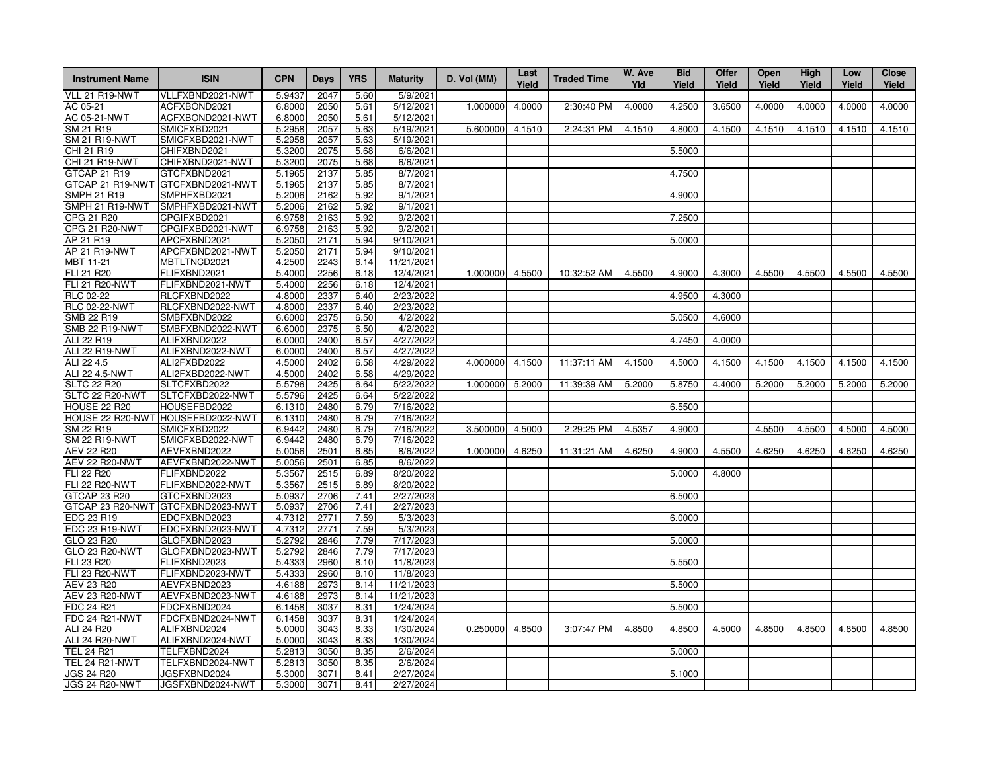| <b>Instrument Name</b> | <b>ISIN</b>                       | <b>CPN</b> | Days | <b>YRS</b> | <b>Maturity</b> | D. Vol (MM) | Last<br>Yield | <b>Traded Time</b> | W. Ave<br>Yld | <b>Bid</b><br>Yield | Offer<br>Yield | Open<br>Yield | High<br>Yield | Low<br>Yield | <b>Close</b><br>Yield |
|------------------------|-----------------------------------|------------|------|------------|-----------------|-------------|---------------|--------------------|---------------|---------------------|----------------|---------------|---------------|--------------|-----------------------|
| VLL 21 R19-NWT         | VLLFXBND2021-NWT                  | 5.9437     | 2047 | 5.60       | 5/9/2021        |             |               |                    |               |                     |                |               |               |              |                       |
| AC 05-21               | ACFXBOND2021                      | 6.8000     | 2050 | 5.61       | 5/12/2021       | 1.000000    | 4.0000        | 2:30:40 PM         | 4.0000        | 4.2500              | 3.6500         | 4.0000        | 4.0000        | 4.0000       | 4.0000                |
| AC 05-21-NWT           | ACFXBOND2021-NWT                  | 6.8000     | 2050 | 5.61       | 5/12/2021       |             |               |                    |               |                     |                |               |               |              |                       |
| <b>SM 21 R19</b>       | SMICFXBD2021                      | 5.2958     | 2057 | 5.63       | 5/19/2021       | 5.600000    | 4.1510        | 2:24:31 PM         | 4.1510        | 4.8000              | 4.1500         | 4.1510        | 4.1510        | 4.1510       | 4.1510                |
| <b>SM 21 R19-NWT</b>   | SMICFXBD2021-NWT                  | 5.2958     | 2057 | 5.63       | 5/19/2021       |             |               |                    |               |                     |                |               |               |              |                       |
| CHI 21 R19             | CHIFXBND2021                      | 5.3200     | 2075 | 5.68       | 6/6/2021        |             |               |                    |               | 5.5000              |                |               |               |              |                       |
| CHI 21 R19-NWT         | CHIFXBND2021-NWT                  | 5.3200     | 2075 | 5.68       | 6/6/2021        |             |               |                    |               |                     |                |               |               |              |                       |
| GTCAP 21 R19           | GTCFXBND2021                      | 5.1965     | 2137 | 5.85       | 8/7/2021        |             |               |                    |               | 4.7500              |                |               |               |              |                       |
|                        | GTCAP 21 R19-NWT GTCFXBND2021-NWT | 5.1965     | 2137 | 5.85       | 8/7/2021        |             |               |                    |               |                     |                |               |               |              |                       |
| <b>SMPH 21 R19</b>     | SMPHFXBD2021                      | 5.2006     | 2162 | 5.92       | 9/1/2021        |             |               |                    |               | 4.9000              |                |               |               |              |                       |
| SMPH 21 R19-NWT        | SMPHFXBD2021-NWT                  | 5.2006     | 2162 | 5.92       | 9/1/2021        |             |               |                    |               |                     |                |               |               |              |                       |
| CPG 21 R20             | CPGIFXBD2021                      | 6.9758     | 2163 | 5.92       | 9/2/2021        |             |               |                    |               | 7.2500              |                |               |               |              |                       |
| CPG 21 R20-NWT         | CPGIFXBD2021-NWT                  | 6.9758     | 2163 | 5.92       | 9/2/2021        |             |               |                    |               |                     |                |               |               |              |                       |
| AP 21 R19              | APCFXBND2021                      | 5.2050     | 2171 | 5.94       | 9/10/2021       |             |               |                    |               | 5.0000              |                |               |               |              |                       |
| AP 21 R19-NWT          | APCFXBND2021-NWT                  | 5.2050     | 2171 | 5.94       | 9/10/2021       |             |               |                    |               |                     |                |               |               |              |                       |
| MBT 11-21              | MBTLTNCD2021                      | 4.2500     | 2243 | 6.14       | 11/21/2021      |             |               |                    |               |                     |                |               |               |              |                       |
| FLI 21 R20             | FLIFXBND2021                      | 5.4000     | 2256 | 6.18       | 12/4/2021       | 1.000000    | 4.5500        | 10:32:52 AM        | 4.5500        | 4.9000              | 4.3000         | 4.5500        | 4.5500        | 4.5500       | 4.5500                |
| <b>FLI 21 R20-NWT</b>  | FLIFXBND2021-NWT                  | 5.4000     | 2256 | 6.18       | 12/4/2021       |             |               |                    |               |                     |                |               |               |              |                       |
| <b>RLC 02-22</b>       | RLCFXBND2022                      | 4.8000     | 2337 | 6.40       | 2/23/2022       |             |               |                    |               | 4.9500              | 4.3000         |               |               |              |                       |
| <b>RLC 02-22-NWT</b>   | RLCFXBND2022-NWT                  | 4.8000     | 2337 | 6.40       | 2/23/2022       |             |               |                    |               |                     |                |               |               |              |                       |
| SMB 22 R19             | SMBFXBND2022                      | 6.6000     | 2375 | 6.50       | 4/2/2022        |             |               |                    |               | 5.0500              | 4.6000         |               |               |              |                       |
| <b>SMB 22 R19-NWT</b>  | SMBFXBND2022-NWT                  | 6.6000     | 2375 | 6.50       | 4/2/2022        |             |               |                    |               |                     |                |               |               |              |                       |
| ALI 22 R19             | ALIFXBND2022                      | 6.0000     | 2400 | 6.57       | 4/27/2022       |             |               |                    |               | 4.7450              | 4.0000         |               |               |              |                       |
| ALI 22 R19-NWT         | ALIFXBND2022-NWT                  | 6.0000     | 2400 | 6.57       | 4/27/2022       |             |               |                    |               |                     |                |               |               |              |                       |
| ALI 22 4.5             | ALI2FXBD2022                      | 4.5000     | 2402 | 6.58       | 4/29/2022       | 4.000000    | 4.1500        | 11:37:11 AM        | 4.1500        | 4.5000              | 4.1500         | 4.1500        | 4.1500        | 4.1500       | 4.1500                |
| ALI 22 4.5-NWT         | ALI2FXBD2022-NWT                  | 4.5000     | 2402 | 6.58       | 4/29/2022       |             |               |                    |               |                     |                |               |               |              |                       |
| <b>SLTC 22 R20</b>     | SLTCFXBD2022                      | 5.5796     | 2425 | 6.64       | 5/22/2022       | 1.000000    | 5.2000        | 11:39:39 AM        | 5.2000        | 5.8750              | 4.4000         | 5.2000        | 5.2000        | 5.2000       | 5.2000                |
| SLTC 22 R20-NWT        | SLTCFXBD2022-NWT                  | 5.5796     | 2425 | 6.64       | 5/22/2022       |             |               |                    |               |                     |                |               |               |              |                       |
| HOUSE 22 R20           | HOUSEFBD2022                      | 6.1310     | 2480 | 6.79       | 7/16/2022       |             |               |                    |               | 6.5500              |                |               |               |              |                       |
|                        | HOUSE 22 R20-NWT HOUSEFBD2022-NWT | 6.1310     | 2480 | 6.79       | 7/16/2022       |             |               |                    |               |                     |                |               |               |              |                       |
| SM 22 R19              | SMICFXBD2022                      | 6.9442     | 2480 | 6.79       | 7/16/2022       | 3.500000    | 4.5000        | 2:29:25 PM         | 4.5357        | 4.9000              |                | 4.5500        | 4.5500        | 4.5000       | 4.5000                |
| <b>SM 22 R19-NWT</b>   | SMICFXBD2022-NWT                  | 6.9442     | 2480 | 6.79       | 7/16/2022       |             |               |                    |               |                     |                |               |               |              |                       |
| AEV 22 R20             | AEVFXBND2022                      | 5.0056     | 2501 | 6.85       | 8/6/2022        | 1.000000    | 4.6250        | 11:31:21 AM        | 4.6250        | 4.9000              | 4.5500         | 4.6250        | 4.6250        | 4.6250       | 4.6250                |
| <b>AEV 22 R20-NWT</b>  | AEVFXBND2022-NWT                  | 5.0056     | 2501 | 6.85       | 8/6/2022        |             |               |                    |               |                     |                |               |               |              |                       |
| FLI 22 R20             | FLIFXBND2022                      | 5.3567     | 2515 | 6.89       | 8/20/2022       |             |               |                    |               | 5.0000              | 4.8000         |               |               |              |                       |
| <b>FLI 22 R20-NWT</b>  | FLIFXBND2022-NWT                  | 5.3567     | 2515 | 6.89       | 8/20/2022       |             |               |                    |               |                     |                |               |               |              |                       |
| GTCAP 23 R20           | GTCFXBND2023                      | 5.0937     | 2706 | 7.41       | 2/27/2023       |             |               |                    |               | 6.5000              |                |               |               |              |                       |
|                        | GTCAP 23 R20-NWT GTCFXBND2023-NWT | 5.0937     | 2706 | 7.41       | 2/27/2023       |             |               |                    |               |                     |                |               |               |              |                       |
| EDC 23 R19             | EDCFXBND2023                      | 4.7312     | 2771 | 7.59       | 5/3/2023        |             |               |                    |               | 6.0000              |                |               |               |              |                       |
| EDC 23 R19-NWT         | EDCFXBND2023-NWT                  | 4.7312     | 2771 | 7.59       | 5/3/2023        |             |               |                    |               |                     |                |               |               |              |                       |
| GLO 23 R20             | GLOFXBND2023                      | 5.2792     | 2846 | 7.79       | 7/17/2023       |             |               |                    |               | 5.0000              |                |               |               |              |                       |
| GLO 23 R20-NWT         | GLOFXBND2023-NWT                  | 5.2792     | 2846 | 7.79       | 7/17/2023       |             |               |                    |               |                     |                |               |               |              |                       |
| <b>FLI 23 R20</b>      | FLIFXBND2023                      | 5.4333     | 2960 | 8.10       | 11/8/2023       |             |               |                    |               | 5.5500              |                |               |               |              |                       |
| <b>FLI 23 R20-NWT</b>  | FLIFXBND2023-NWT                  | 5.4333     | 2960 | 8.10       | 11/8/2023       |             |               |                    |               |                     |                |               |               |              |                       |
| AEV 23 R20             | AEVFXBND2023                      | 4.6188     | 2973 | 8.14       | 11/21/2023      |             |               |                    |               | 5.5000              |                |               |               |              |                       |
| AEV 23 R20-NWT         | AEVFXBND2023-NWT                  | 4.6188     | 2973 | 8.14       | 11/21/2023      |             |               |                    |               |                     |                |               |               |              |                       |
| <b>FDC 24 R21</b>      | FDCFXBND2024                      | 6.1458     | 3037 | 8.31       | 1/24/2024       |             |               |                    |               | 5.5000              |                |               |               |              |                       |
| FDC 24 R21-NWT         | FDCFXBND2024-NWT                  | 6.1458     | 3037 | 8.31       | 1/24/2024       |             |               |                    |               |                     |                |               |               |              |                       |
| ALI 24 R20             | ALIFXBND2024                      | 5.0000     | 3043 | 8.33       | 1/30/2024       | 0.250000    | 4.8500        | 3:07:47 PM         | 4.8500        | 4.8500              | 4.5000         | 4.8500        | 4.8500        | 4.8500       | 4.8500                |
| ALI 24 R20-NWT         | ALIFXBND2024-NWT                  | 5.0000     | 3043 | 8.33       | 1/30/2024       |             |               |                    |               |                     |                |               |               |              |                       |
| <b>TEL 24 R21</b>      | TELFXBND2024                      | 5.2813     | 3050 | 8.35       | 2/6/2024        |             |               |                    |               | 5.0000              |                |               |               |              |                       |
| TEL 24 R21-NWT         | TELFXBND2024-NWT                  | 5.2813     | 3050 | 8.35       | 2/6/2024        |             |               |                    |               |                     |                |               |               |              |                       |
| <b>JGS 24 R20</b>      | JGSFXBND2024                      | 5.3000     | 3071 | 8.41       | 2/27/2024       |             |               |                    |               | 5.1000              |                |               |               |              |                       |
| <b>JGS 24 R20-NWT</b>  | JGSFXBND2024-NWT                  | 5.3000     | 3071 | 8.41       | 2/27/2024       |             |               |                    |               |                     |                |               |               |              |                       |